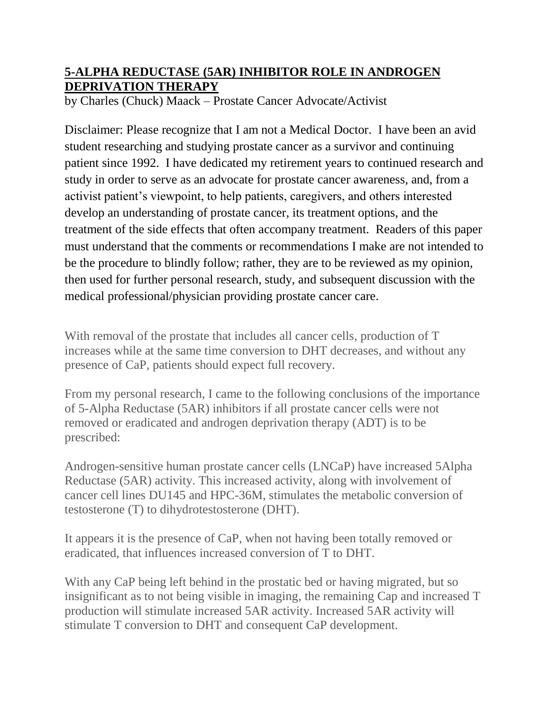## **5-ALPHA REDUCTASE (5AR) INHIBITOR ROLE IN ANDROGEN DEPRIVATION THERAPY**

by Charles (Chuck) Maack – Prostate Cancer Advocate/Activist

Disclaimer: Please recognize that I am not a Medical Doctor. I have been an avid student researching and studying prostate cancer as a survivor and continuing patient since 1992. I have dedicated my retirement years to continued research and study in order to serve as an advocate for prostate cancer awareness, and, from a activist patient's viewpoint, to help patients, caregivers, and others interested develop an understanding of prostate cancer, its treatment options, and the treatment of the side effects that often accompany treatment. Readers of this paper must understand that the comments or recommendations I make are not intended to be the procedure to blindly follow; rather, they are to be reviewed as my opinion, then used for further personal research, study, and subsequent discussion with the medical professional/physician providing prostate cancer care.

With removal of the prostate that includes all cancer cells, production of T increases while at the same time conversion to DHT decreases, and without any presence of CaP, patients should expect full recovery.

From my personal research, I came to the following conclusions of the importance of 5-Alpha Reductase (5AR) inhibitors if all prostate cancer cells were not removed or eradicated and androgen deprivation therapy (ADT) is to be prescribed:

Androgen-sensitive human prostate cancer cells (LNCaP) have increased 5Alpha Reductase (5AR) activity. This increased activity, along with involvement of cancer cell lines DU145 and HPC-36M, stimulates the metabolic conversion of testosterone (T) to dihydrotestosterone (DHT).

It appears it is the presence of CaP, when not having been totally removed or eradicated, that influences increased conversion of T to DHT.

With any CaP being left behind in the prostatic bed or having migrated, but so insignificant as to not being visible in imaging, the remaining Cap and increased T production will stimulate increased 5AR activity. Increased 5AR activity will stimulate T conversion to DHT and consequent CaP development.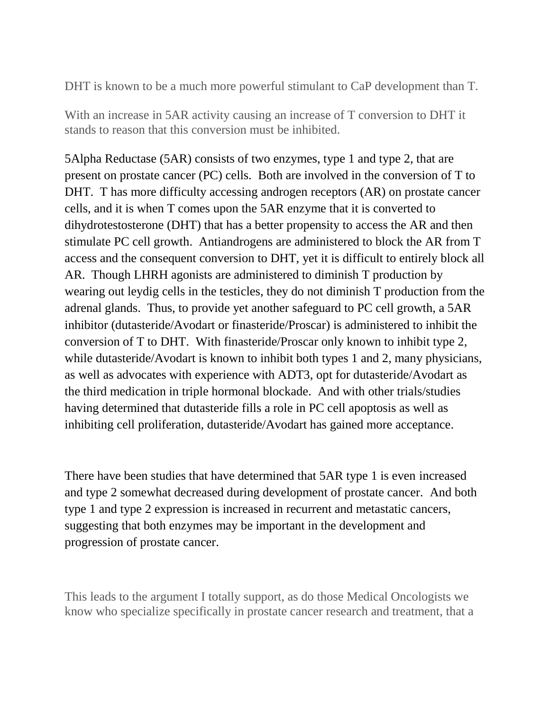DHT is known to be a much more powerful stimulant to CaP development than T.

With an increase in 5AR activity causing an increase of T conversion to DHT it stands to reason that this conversion must be inhibited.

5Alpha Reductase (5AR) consists of two enzymes, type 1 and type 2, that are present on prostate cancer (PC) cells. Both are involved in the conversion of T to DHT. T has more difficulty accessing androgen receptors (AR) on prostate cancer cells, and it is when T comes upon the 5AR enzyme that it is converted to dihydrotestosterone (DHT) that has a better propensity to access the AR and then stimulate PC cell growth. Antiandrogens are administered to block the AR from T access and the consequent conversion to DHT, yet it is difficult to entirely block all AR. Though LHRH agonists are administered to diminish T production by wearing out leydig cells in the testicles, they do not diminish T production from the adrenal glands. Thus, to provide yet another safeguard to PC cell growth, a 5AR inhibitor (dutasteride/Avodart or finasteride/Proscar) is administered to inhibit the conversion of T to DHT. With finasteride/Proscar only known to inhibit type 2, while dutasteride/Avodart is known to inhibit both types 1 and 2, many physicians, as well as advocates with experience with ADT3, opt for dutasteride/Avodart as the third medication in triple hormonal blockade. And with other trials/studies having determined that dutasteride fills a role in PC cell apoptosis as well as inhibiting cell proliferation, dutasteride/Avodart has gained more acceptance.

There have been studies that have determined that 5AR type 1 is even increased and type 2 somewhat decreased during development of prostate cancer. And both type 1 and type 2 expression is increased in recurrent and metastatic cancers, suggesting that both enzymes may be important in the development and progression of prostate cancer.

This leads to the argument I totally support, as do those Medical Oncologists we know who specialize specifically in prostate cancer research and treatment, that a